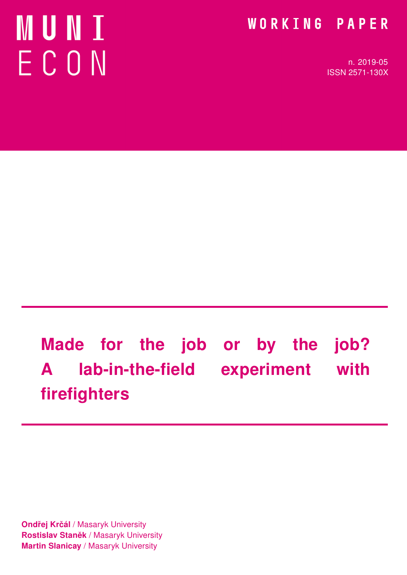# MUNI ECON

### WORKING PAPER

n. 2019-05 ISSN 2571-130X

# Made for the job or by the job? A lab-in-the-field experiment with firefighters

Ondřej Krčál / Masaryk University Rostislav Staněk / Masaryk University **Martin Slanicay / Masaryk University**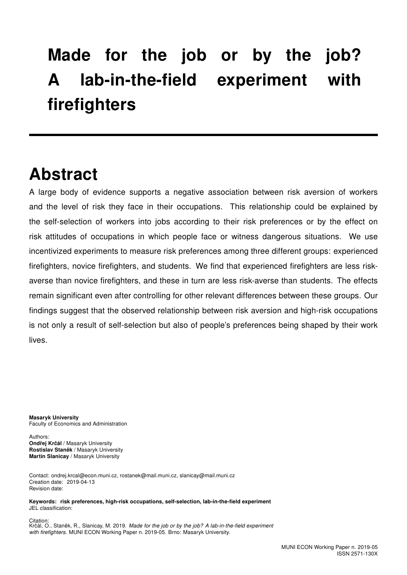## Made for the job or by the job? A lab-in-the-field experiment with firefighters

### Abstract

A large body of evidence supports a negative association between risk aversion of workers and the level of risk they face in their occupations. This relationship could be explained by the self-selection of workers into jobs according to their risk preferences or by the effect on risk attitudes of occupations in which people face or witness dangerous situations. We use incentivized experiments to measure risk preferences among three different groups: experienced firefighters, novice firefighters, and students. We find that experienced firefighters are less riskaverse than novice firefighters, and these in turn are less risk-averse than students. The effects remain significant even after controlling for other relevant differences between these groups. Our findings suggest that the observed relationship between risk aversion and high-risk occupations is not only a result of self-selection but also of people's preferences being shaped by their work lives.

Masaryk University Faculty of Economics and Administration

Authors: Ondřej Krčál / Masaryk University Rostislav Staněk / Masaryk University Martin Slanicay / Masaryk University

Contact: ondrej.krcal@econ.muni.cz, rostanek@mail.muni.cz, slanicay@mail.muni.cz Creation date: 2019-04-13 Revision date:

Keywords: risk preferences, high-risk occupations, self-selection, lab-in-the-field experiment JEL classification:

**Citation** Krčál, O., Staněk, R., Slanicay, M. 2019. Made for the job or by the job? A lab-in-the-field experiment with firefighters. MUNI ECON Working Paper n. 2019-05. Brno: Masaryk University.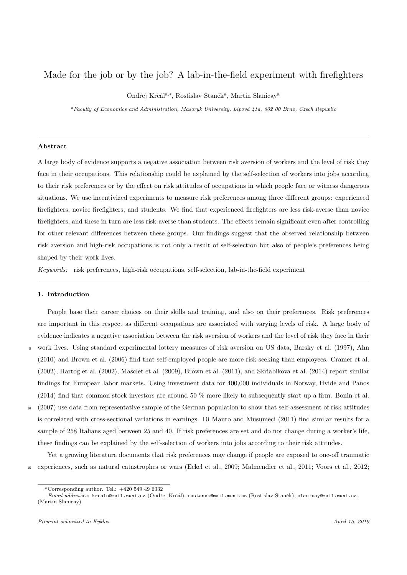#### Made for the job or by the job? A lab-in-the-field experiment with firefighters

Ondřej Krčál<sup>a,∗</sup>, Rostislav Staněk<sup>a</sup>, Martin Slanicay<sup>a</sup>

 $a$ Faculty of Economics and Administration, Masaryk University, Lipová 41a, 602 00 Brno, Czech Republic

#### Abstract

A large body of evidence supports a negative association between risk aversion of workers and the level of risk they face in their occupations. This relationship could be explained by the self-selection of workers into jobs according to their risk preferences or by the effect on risk attitudes of occupations in which people face or witness dangerous situations. We use incentivized experiments to measure risk preferences among three different groups: experienced firefighters, novice firefighters, and students. We find that experienced firefighters are less risk-averse than novice firefighters, and these in turn are less risk-averse than students. The effects remain significant even after controlling for other relevant differences between these groups. Our findings suggest that the observed relationship between risk aversion and high-risk occupations is not only a result of self-selection but also of people's preferences being shaped by their work lives.

Keywords: risk preferences, high-risk occupations, self-selection, lab-in-the-field experiment

#### 1. Introduction

People base their career choices on their skills and training, and also on their preferences. Risk preferences are important in this respect as different occupations are associated with varying levels of risk. A large body of evidence indicates a negative association between the risk aversion of workers and the level of risk they face in their <sup>5</sup> work lives. Using standard experimental lottery measures of risk aversion on US data, Barsky et al. (1997), Ahn

- (2010) and Brown et al. (2006) find that self-employed people are more risk-seeking than employees. Cramer et al. (2002), Hartog et al. (2002), Masclet et al. (2009), Brown et al. (2011), and Skriabikova et al. (2014) report similar findings for European labor markets. Using investment data for 400,000 individuals in Norway, Hvide and Panos (2014) find that common stock investors are around 50 % more likely to subsequently start up a firm. Bonin et al.
- <sup>10</sup> (2007) use data from representative sample of the German population to show that self-assessment of risk attitudes is correlated with cross-sectional variations in earnings. Di Mauro and Musumeci (2011) find similar results for a sample of 258 Italians aged between 25 and 40. If risk preferences are set and do not change during a worker's life, these findings can be explained by the self-selection of workers into jobs according to their risk attitudes.

Yet a growing literature documents that risk preferences may change if people are exposed to one-off traumatic <sup>15</sup> experiences, such as natural catastrophes or wars (Eckel et al., 2009; Malmendier et al., 2011; Voors et al., 2012;

 $*$ Corresponding author. Tel.:  $+420549496332$ 

Email addresses: krcalo@mail.muni.cz (Ondřej Krčál), rostanek@mail.muni.cz (Rostislav Staněk), slanicay@mail.muni.cz (Martin Slanicay)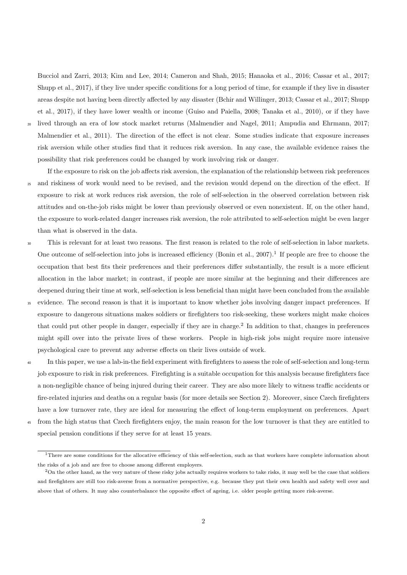Bucciol and Zarri, 2013; Kim and Lee, 2014; Cameron and Shah, 2015; Hanaoka et al., 2016; Cassar et al., 2017; Shupp et al., 2017), if they live under specific conditions for a long period of time, for example if they live in disaster areas despite not having been directly affected by any disaster (Bchir and Willinger, 2013; Cassar et al., 2017; Shupp et al., 2017), if they have lower wealth or income (Guiso and Paiella, 2008; Tanaka et al., 2010), or if they have

<sup>20</sup> lived through an era of low stock market returns (Malmendier and Nagel, 2011; Ampudia and Ehrmann, 2017; Malmendier et al., 2011). The direction of the effect is not clear. Some studies indicate that exposure increases risk aversion while other studies find that it reduces risk aversion. In any case, the available evidence raises the possibility that risk preferences could be changed by work involving risk or danger.

- If the exposure to risk on the job affects risk aversion, the explanation of the relationship between risk preferences <sup>25</sup> and riskiness of work would need to be revised, and the revision would depend on the direction of the effect. If exposure to risk at work reduces risk aversion, the role of self-selection in the observed correlation between risk attitudes and on-the-job risks might be lower than previously observed or even nonexistent. If, on the other hand, the exposure to work-related danger increases risk aversion, the role attributed to self-selection might be even larger than what is observed in the data.
- <sup>30</sup> This is relevant for at least two reasons. The first reason is related to the role of self-selection in labor markets. One outcome of self-selection into jobs is increased efficiency (Bonin et al.,  $2007$ ).<sup>1</sup> If people are free to choose the occupation that best fits their preferences and their preferences differ substantially, the result is a more efficient allocation in the labor market; in contrast, if people are more similar at the beginning and their differences are deepened during their time at work, self-selection is less beneficial than might have been concluded from the available
- <sup>35</sup> evidence. The second reason is that it is important to know whether jobs involving danger impact preferences. If exposure to dangerous situations makes soldiers or firefighters too risk-seeking, these workers might make choices that could put other people in danger, especially if they are in charge.<sup>2</sup> In addition to that, changes in preferences might spill over into the private lives of these workers. People in high-risk jobs might require more intensive psychological care to prevent any adverse effects on their lives outside of work.
- <sup>40</sup> In this paper, we use a lab-in-the field experiment with firefighters to assess the role of self-selection and long-term job exposure to risk in risk preferences. Firefighting is a suitable occupation for this analysis because firefighters face a non-negligible chance of being injured during their career. They are also more likely to witness traffic accidents or fire-related injuries and deaths on a regular basis (for more details see Section 2). Moreover, since Czech firefighters have a low turnover rate, they are ideal for measuring the effect of long-term employment on preferences. Apart
- <sup>45</sup> from the high status that Czech firefighters enjoy, the main reason for the low turnover is that they are entitled to special pension conditions if they serve for at least 15 years.

 $1$ There are some conditions for the allocative efficiency of this self-selection, such as that workers have complete information about the risks of a job and are free to choose among different employers.

<sup>&</sup>lt;sup>2</sup>On the other hand, as the very nature of these risky jobs actually requires workers to take risks, it may well be the case that soldiers and firefighters are still too risk-averse from a normative perspective, e.g. because they put their own health and safety well over and above that of others. It may also counterbalance the opposite effect of ageing, i.e. older people getting more risk-averse.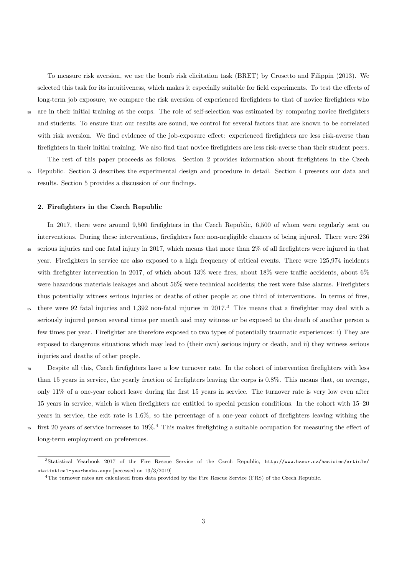To measure risk aversion, we use the bomb risk elicitation task (BRET) by Crosetto and Filippin (2013). We selected this task for its intuitiveness, which makes it especially suitable for field experiments. To test the effects of long-term job exposure, we compare the risk aversion of experienced firefighters to that of novice firefighters who <sup>50</sup> are in their initial training at the corps. The role of self-selection was estimated by comparing novice firefighters and students. To ensure that our results are sound, we control for several factors that are known to be correlated with risk aversion. We find evidence of the job-exposure effect: experienced firefighters are less risk-averse than firefighters in their initial training. We also find that novice firefighters are less risk-averse than their student peers.

The rest of this paper proceeds as follows. Section 2 provides information about firefighters in the Czech <sup>55</sup> Republic. Section 3 describes the experimental design and procedure in detail. Section 4 presents our data and results. Section 5 provides a discussion of our findings.

#### 2. Firefighters in the Czech Republic

In 2017, there were around 9,500 firefighters in the Czech Republic, 6,500 of whom were regularly sent on

interventions. During these interventions, firefighters face non-negligible chances of being injured. There were 236 <sup>60</sup> serious injuries and one fatal injury in 2017, which means that more than 2% of all firefighters were injured in that year. Firefighters in service are also exposed to a high frequency of critical events. There were 125,974 incidents with firefighter intervention in 2017, of which about 13% were fires, about 18% were traffic accidents, about 6% were hazardous materials leakages and about 56% were technical accidents; the rest were false alarms. Firefighters thus potentially witness serious injuries or deaths of other people at one third of interventions. In terms of fires,

- $\epsilon$ <sup>65</sup> there were 92 fatal injuries and 1,392 non-fatal injuries in 2017.<sup>3</sup> This means that a firefighter may deal with a seriously injured person several times per month and may witness or be exposed to the death of another person a few times per year. Firefighter are therefore exposed to two types of potentially traumatic experiences: i) They are exposed to dangerous situations which may lead to (their own) serious injury or death, and ii) they witness serious injuries and deaths of other people.
- <sup>70</sup> Despite all this, Czech firefighters have a low turnover rate. In the cohort of intervention firefighters with less than 15 years in service, the yearly fraction of firefighters leaving the corps is 0.8%. This means that, on average, only 11% of a one-year cohort leave during the first 15 years in service. The turnover rate is very low even after 15 years in service, which is when firefighters are entitled to special pension conditions. In the cohort with 15–20 years in service, the exit rate is 1.6%, so the percentage of a one-year cohort of firefighters leaving withing the  $\pi$  first 20 years of service increases to 19%.<sup>4</sup> This makes firefighting a suitable occupation for measuring the effect of
	- long-term employment on preferences.

<sup>3</sup>Statistical Yearbook 2017 of the Fire Rescue Service of the Czech Republic, http://www.hzscr.cz/hasicien/article/ statistical-yearbooks.aspx [accessed on 13/3/2019]

<sup>4</sup>The turnover rates are calculated from data provided by the Fire Rescue Service (FRS) of the Czech Republic.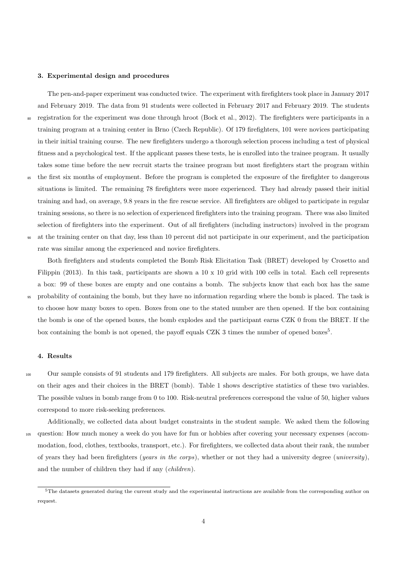#### 3. Experimental design and procedures

The pen-and-paper experiment was conducted twice. The experiment with firefighters took place in January 2017 and February 2019. The data from 91 students were collected in February 2017 and February 2019. The students <sup>80</sup> registration for the experiment was done through hroot (Bock et al., 2012). The firefighters were participants in a training program at a training center in Brno (Czech Republic). Of 179 firefighters, 101 were novices participating in their initial training course. The new firefighters undergo a thorough selection process including a test of physical fitness and a psychological test. If the applicant passes these tests, he is enrolled into the trainee program. It usually takes some time before the new recruit starts the trainee program but most firefighters start the program within <sup>85</sup> the first six months of employment. Before the program is completed the exposure of the firefighter to dangerous situations is limited. The remaining 78 firefighters were more experienced. They had already passed their initial training and had, on average, 9.8 years in the fire rescue service. All firefighters are obliged to participate in regular training sessions, so there is no selection of experienced firefighters into the training program. There was also limited

<sup>90</sup> at the training center on that day, less than 10 percent did not participate in our experiment, and the participation rate was similar among the experienced and novice firefighters.

Both firefighters and students completed the Bomb Risk Elicitation Task (BRET) developed by Crosetto and Filippin (2013). In this task, participants are shown a 10 x 10 grid with 100 cells in total. Each cell represents a box: 99 of these boxes are empty and one contains a bomb. The subjects know that each box has the same <sup>95</sup> probability of containing the bomb, but they have no information regarding where the bomb is placed. The task is to choose how many boxes to open. Boxes from one to the stated number are then opened. If the box containing the bomb is one of the opened boxes, the bomb explodes and the participant earns CZK 0 from the BRET. If the box containing the bomb is not opened, the payoff equals CZK 3 times the number of opened boxes<sup>5</sup>.

selection of firefighters into the experiment. Out of all firefighters (including instructors) involved in the program

#### 4. Results

<sup>100</sup> Our sample consists of 91 students and 179 firefighters. All subjects are males. For both groups, we have data on their ages and their choices in the BRET (bomb). Table 1 shows descriptive statistics of these two variables. The possible values in bomb range from 0 to 100. Risk-neutral preferences correspond the value of 50, higher values correspond to more risk-seeking preferences.

Additionally, we collected data about budget constraints in the student sample. We asked them the following <sup>105</sup> question: How much money a week do you have for fun or hobbies after covering your necessary expenses (accommodation, food, clothes, textbooks, transport, etc.). For firefighters, we collected data about their rank, the number of years they had been firefighters (years in the corps), whether or not they had a university degree (university), and the number of children they had if any (children).

 $5$ The datasets generated during the current study and the experimental instructions are available from the corresponding author on request.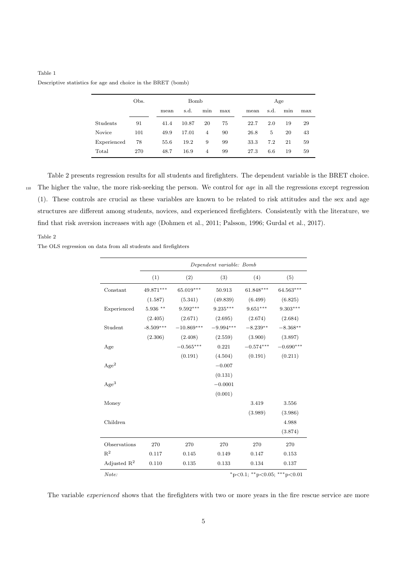| Table 1                                                      |  |  |  |  |  |
|--------------------------------------------------------------|--|--|--|--|--|
| Descriptive statistics for age and choice in the BRET (bomb) |  |  |  |  |  |

|             | Obs. |      | Bomb  |     |     | Age |      |      |     |     |
|-------------|------|------|-------|-----|-----|-----|------|------|-----|-----|
|             |      | mean | s.d.  | min | max |     | mean | s.d. | min | max |
| Students    | 91   | 41.4 | 10.87 | 20  | 75  |     | 22.7 | 2.0  | 19  | 29  |
| Novice      | 101  | 49.9 | 17.01 | 4   | 90  |     | 26.8 | 5    | 20  | 43  |
| Experienced | 78   | 55.6 | 19.2  | 9   | 99  |     | 33.3 | 7.2  | 21  | 59  |
| Total       | 270  | 48.7 | 16.9  | 4   | 99  |     | 27.3 | 6.6  | 19  | 59  |

Table 2 presents regression results for all students and firefighters. The dependent variable is the BRET choice. <sup>110</sup> The higher the value, the more risk-seeking the person. We control for age in all the regressions except regression (1). These controls are crucial as these variables are known to be related to risk attitudes and the sex and age structures are different among students, novices, and experienced firefighters. Consistently with the literature, we find that risk aversion increases with age (Dohmen et al., 2011; Palsson, 1996; Gurdal et al., 2017).

Table 2

The OLS regression on data from all students and firefighters

|                                      | Dependent variable: Bomb |              |             |             |             |  |  |
|--------------------------------------|--------------------------|--------------|-------------|-------------|-------------|--|--|
|                                      | (1)                      | (2)          | (3)         | (4)         | (5)         |  |  |
| Constant                             | 49.871***                | 65.019***    | 50.913      | 61.848***   | 64.563***   |  |  |
|                                      | (1.587)                  | (5.341)      | (49.839)    | (6.499)     | (6.825)     |  |  |
| Experienced                          | 5.936 **                 | $9.592***$   | $9.235***$  | $9.651***$  | $9.303***$  |  |  |
|                                      | (2.405)                  | (2.671)      | (2.695)     | (2.674)     | (2.684)     |  |  |
| Student                              | $-8.509***$              | $-10.869***$ | $-9.994***$ | $-8.239**$  | $-8.368**$  |  |  |
|                                      | (2.306)                  | (2.408)      | (2.559)     | (3.900)     | (3.897)     |  |  |
| Age                                  |                          | $-0.565***$  | 0.221       | $-0.574***$ | $-0.690***$ |  |  |
|                                      |                          | (0.191)      | (4.504)     | (0.191)     | (0.211)     |  |  |
| Age <sup>2</sup>                     |                          |              | $-0.007$    |             |             |  |  |
|                                      |                          |              | (0.131)     |             |             |  |  |
| Age <sup>3</sup>                     |                          |              | $-0.0001$   |             |             |  |  |
|                                      |                          |              | (0.001)     |             |             |  |  |
| Money                                |                          |              |             | 3.419       | 3.556       |  |  |
|                                      |                          |              |             | (3.989)     | (3.986)     |  |  |
| Children                             |                          |              |             |             | 4.988       |  |  |
|                                      |                          |              |             |             | (3.874)     |  |  |
| Observations                         | 270                      | 270          | 270         | 270         | 270         |  |  |
| $R^2$                                | 0.117                    | 0.145        | 0.149       | 0.147       | 0.153       |  |  |
| Adjusted $R^2$                       | 0.110                    | 0.135        | 0.133       | 0.134       | 0.137       |  |  |
| *p<0.1; **p<0.05; ***p<0.01<br>Note: |                          |              |             |             |             |  |  |

The variable *experienced* shows that the firefighters with two or more years in the fire rescue service are more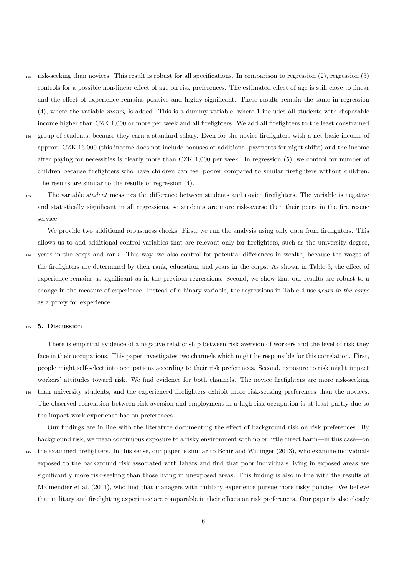- <sup>115</sup> risk-seeking than novices. This result is robust for all specifications. In comparison to regression (2), regression (3) controls for a possible non-linear effect of age on risk preferences. The estimated effect of age is still close to linear and the effect of experience remains positive and highly significant. These results remain the same in regression (4), where the variable money is added. This is a dummy variable, where 1 includes all students with disposable income higher than CZK 1,000 or more per week and all firefighters. We add all firefighters to the least constrained
- <sup>120</sup> group of students, because they earn a standard salary. Even for the novice firefighters with a net basic income of approx. CZK 16,000 (this income does not include bonuses or additional payments for night shifts) and the income after paying for necessities is clearly more than CZK 1,000 per week. In regression (5), we control for number of children because firefighters who have children can feel poorer compared to similar firefighters without children. The results are similar to the results of regression (4).

<sup>125</sup> The variable student measures the difference between students and novice firefighters. The variable is negative and statistically significant in all regressions, so students are more risk-averse than their peers in the fire rescue service.

We provide two additional robustness checks. First, we run the analysis using only data from firefighters. This allows us to add additional control variables that are relevant only for firefighters, such as the university degree, <sup>130</sup> years in the corps and rank. This way, we also control for potential differences in wealth, because the wages of the firefighters are determined by their rank, education, and years in the corps. As shown in Table 3, the effect of experience remains as significant as in the previous regressions. Second, we show that our results are robust to a change in the measure of experience. Instead of a binary variable, the regressions in Table 4 use years in the corps as a proxy for experience.

#### <sup>135</sup> 5. Discussion

There is empirical evidence of a negative relationship between risk aversion of workers and the level of risk they face in their occupations. This paper investigates two channels which might be responsible for this correlation. First, people might self-select into occupations according to their risk preferences. Second, exposure to risk might impact workers' attitudes toward risk. We find evidence for both channels. The novice firefighters are more risk-seeking <sup>140</sup> than university students, and the experienced firefighters exhibit more risk-seeking preferences than the novices. The observed correlation between risk aversion and employment in a high-risk occupation is at least partly due to the impact work experience has on preferences.

Our findings are in line with the literature documenting the effect of background risk on risk preferences. By background risk, we mean continuous exposure to a risky environment with no or little direct harm—in this case—on

<sup>145</sup> the examined firefighters. In this sense, our paper is similar to Bchir and Willinger (2013), who examine individuals exposed to the background risk associated with lahars and find that poor individuals living in exposed areas are significantly more risk-seeking than those living in unexposed areas. This finding is also in line with the results of Malmendier et al. (2011), who find that managers with military experience pursue more risky policies. We believe that military and firefighting experience are comparable in their effects on risk preferences. Our paper is also closely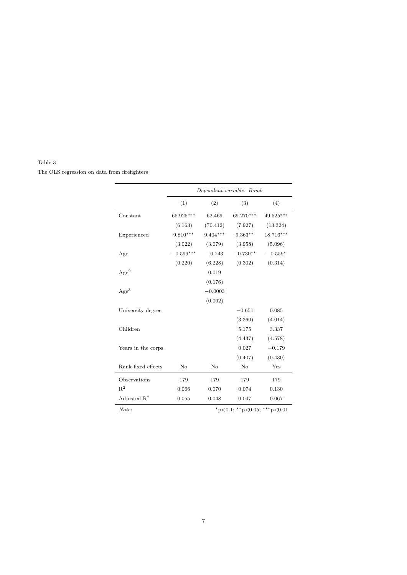#### Table 3

The OLS regression on data from firefighters

|                         | Dependent variable: Bomb |            |                             |           |  |  |
|-------------------------|--------------------------|------------|-----------------------------|-----------|--|--|
|                         | (1)                      | (2)        | (3)                         | (4)       |  |  |
| Constant                | 65.925***                | 62.469     | 69.270***                   | 49.525*** |  |  |
|                         | (6.163)                  | (70.412)   | (7.927)                     | (13.324)  |  |  |
| Experienced             | $9.810***$               | $9.404***$ | $9.363**$                   | 18.716*** |  |  |
|                         | (3.022)                  | (3.079)    | (3.958)                     | (5.096)   |  |  |
| Age                     | $-0.599***$              | $-0.743$   | $-0.730**$                  | $-0.559*$ |  |  |
|                         | (0.220)                  | (6.228)    | (0.302)                     | (0.314)   |  |  |
| Age <sup>2</sup>        |                          | 0.019      |                             |           |  |  |
|                         |                          | (0.176)    |                             |           |  |  |
| Age <sup>3</sup>        |                          | $-0.0003$  |                             |           |  |  |
|                         |                          | (0.002)    |                             |           |  |  |
| University degree       |                          |            | $-0.651$                    | 0.085     |  |  |
|                         |                          |            | (3.360)                     | (4.014)   |  |  |
| Children                |                          |            | 5.175                       | 3.337     |  |  |
|                         |                          |            | (4.437)                     | (4.578)   |  |  |
| Years in the corps      |                          |            | 0.027                       | $-0.179$  |  |  |
|                         |                          |            | (0.407)                     | (0.430)   |  |  |
| Rank fixed effects      | No                       | No         | No                          | Yes       |  |  |
| Observations            | 179                      | 179        | 179                         | 179       |  |  |
| $R^2$                   | 0.066                    | 0.070      | 0.074                       | 0.130     |  |  |
| Adjusted $\mathbb{R}^2$ | 0.055                    | 0.048      | 0.047                       | 0.067     |  |  |
| Note:                   |                          |            | *p<0.1; **p<0.05; ***p<0.01 |           |  |  |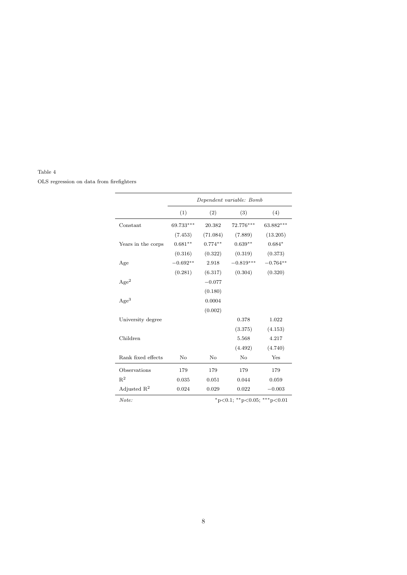#### Table 4

OLS regression on data from firefighters

|                         | Dependent variable: Bomb |           |                             |            |  |  |
|-------------------------|--------------------------|-----------|-----------------------------|------------|--|--|
|                         | (1)                      | (2)       | (3)                         | (4)        |  |  |
| Constant                | 69.733***                | 20.382    | 72.776***                   | 63.882***  |  |  |
|                         | (7.453)                  | (71.084)  | (7.889)                     | (13.205)   |  |  |
| Years in the corps      | $0.681**$                | $0.774**$ | $0.639**$                   | $0.684*$   |  |  |
|                         | (0.316)                  | (0.322)   | (0.319)                     | (0.373)    |  |  |
| Age                     | $-0.692**$               | 2.918     | $-0.819***$                 | $-0.764**$ |  |  |
|                         | (0.281)                  | (6.317)   | (0.304)                     | (0.320)    |  |  |
| Age <sup>2</sup>        |                          | $-0.077$  |                             |            |  |  |
|                         |                          | (0.180)   |                             |            |  |  |
| $\rm{Age^3}$            |                          | 0.0004    |                             |            |  |  |
|                         |                          | (0.002)   |                             |            |  |  |
| University degree       |                          |           | 0.378                       | 1.022      |  |  |
|                         |                          |           | (3.375)                     | (4.153)    |  |  |
| Children                |                          |           | 5.568                       | 4.217      |  |  |
|                         |                          |           | (4.492)                     | (4.740)    |  |  |
| Rank fixed effects      | No                       | No        | No                          | Yes        |  |  |
| Observations            | 179                      | 179       | 179                         | 179        |  |  |
| $R^2$                   | 0.035                    | 0.051     | 0.044                       | 0.059      |  |  |
| Adjusted $\mathbf{R}^2$ | 0.024                    | 0.029     | 0.022                       | $-0.003$   |  |  |
| Note:                   |                          |           | *p<0.1; **p<0.05; ***p<0.01 |            |  |  |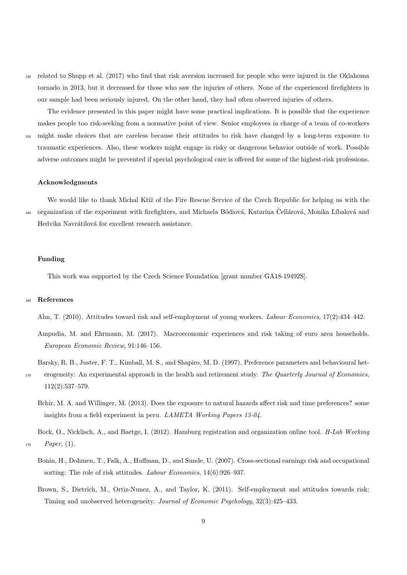<sup>150</sup> related to Shupp et al. (2017) who find that risk aversion increased for people who were injured in the Oklahoma tornado in 2013, but it decreased for those who saw the injuries of others. None of the experienced firefighters in our sample had been seriously injured. On the other hand, they had often observed injuries of others.

The evidence presented in this paper might have some practical implications. It is possible that the experience makes people too risk-seeking from a normative point of view. Senior employees in charge of a team of co-workers <sup>155</sup> might make choices that are careless because their attitudes to risk have changed by a long-term exposure to traumatic experiences. Also, these workers might engage in risky or dangerous behavior outside of work. Possible adverse outcomes might be prevented if special psychological care is offered for some of the highest-risk professions.

#### Acknowledgments

We would like to thank Michal Kříž of the Fire Rescue Service of the Czech Republic for helping us with the <sup>160</sup> organization of the experiment with firefighters, and Michaela Bódiová, Katarína Čellárová, Monika Líbalová and Hedvika Navrátilová for excellent research assistance.

#### Funding

This work was supported by the Czech Science Foundation [grant number GA18-19492S].

#### <sup>165</sup> References

Ahn, T. (2010). Attitudes toward risk and self-employment of young workers. Labour Economics, 17(2):434–442.

- Ampudia, M. and Ehrmann, M. (2017). Macroeconomic experiences and risk taking of euro area households. European Economic Review, 91:146–156.
- Barsky, R. B., Juster, F. T., Kimball, M. S., and Shapiro, M. D. (1997). Preference parameters and behavioural het-
- erogeneity: An experimental approach in the health and retirement study. The Quarterly Journal of Economics, 112(2):537–579.
	- Bchir, M. A. and Willinger, M. (2013). Does the exposure to natural hazards affect risk and time preferences? some insights from a field experiment in peru. LAMETA Working Papers 13-04.

Bock, O., Nicklisch, A., and Baetge, I. (2012). Hamburg registration and organization online tool. H-Lab Working  $175$  *Paper*, (1).



- Bonin, H., Dohmen, T., Falk, A., Huffman, D., and Sunde, U. (2007). Cross-sectional earnings risk and occupational sorting: The role of risk attitudes. *Labour Economics*,  $14(6):926-937$ .
- Brown, S., Dietrich, M., Ortiz-Nunez, A., and Taylor, K. (2011). Self-employment and attitudes towards risk: Timing and unobserved heterogeneity. Journal of Economic Psychology, 32(3):425–433.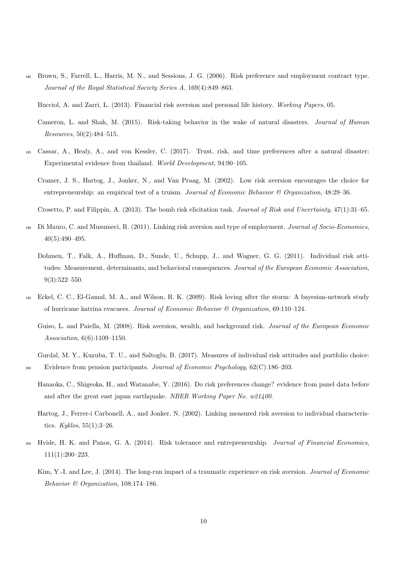- <sup>180</sup> Brown, S., Farrell, L., Harris, M. N., and Sessions, J. G. (2006). Risk preference and employment contract type. Journal of the Royal Statistical Society Series A, 169(4):849–863.
	- Bucciol, A. and Zarri, L. (2013). Financial risk aversion and personal life history. Working Papers, 05.
	- Cameron, L. and Shah, M. (2015). Risk-taking behavior in the wake of natural disasters. Journal of Human Resources, 50(2):484–515.
- <sup>185</sup> Cassar, A., Healy, A., and von Kessler, C. (2017). Trust, risk, and time preferences after a natural disaster: Experimental evidence from thailand. World Development, 94:90–105.
	- Cramer, J. S., Hartog, J., Jonker, N., and Van Praag, M. (2002). Low risk aversion encourages the choice for entrepreneurship: an empirical test of a truism. Journal of Economic Behavior & Organization, 48:29-36.
	- Crosetto, P. and Filippin, A. (2013). The bomb risk elicitation task. Journal of Risk and Uncertainty, 47(1):31–65.
- <sup>190</sup> Di Mauro, C. and Musumeci, R. (2011). Linking risk aversion and type of employment. Journal of Socio-Economics, 40(5):490–495.
	- Dohmen, T., Falk, A., Huffman, D., Sunde, U., Schupp, J., and Wagner, G. G. (2011). Individual risk attitudes: Measurement, determinants, and behavioral consequences. Journal of the European Economic Association, 9(3):522–550.
- <sup>195</sup> Eckel, C. C., El-Gamal, M. A., and Wilson, R. K. (2009). Risk loving after the storm: A bayesian-network study of hurricane katrina evacuees. Journal of Economic Behavior  $\mathcal C$  Organization, 69:110–124.
	- Guiso, L. and Paiella, M. (2008). Risk aversion, wealth, and background risk. Journal of the European Economic Association, 6(6):1109–1150.
	- Gurdal, M. Y., Kuzuba, T. U., and Saltoglu, B. (2017). Measures of individual risk attitudes and portfolio choice: Evidence from pension participants. Journal of Economic Psychology, 62(C):186–203.
	- Hanaoka, C., Shigeoka, H., and Watanabe, Y. (2016). Do risk preferences change? evidence from panel data before and after the great east japan earthquake. NBER Working Paper No. w21400.
	- Hartog, J., Ferrer-i Carbonell, A., and Jonker, N. (2002). Linking measured risk aversion to individual characteristics.  $Kyklos, 55(1):3-26$ .
- <sup>205</sup> Hvide, H. K. and Panos, G. A. (2014). Risk tolerance and entrepreneurship. Journal of Financial Economics, 111(1):200–223.
	- Kim, Y.-I. and Lee, J. (2014). The long-run impact of a traumatic experience on risk aversion. Journal of Economic Behavior & Organization, 108:174–186.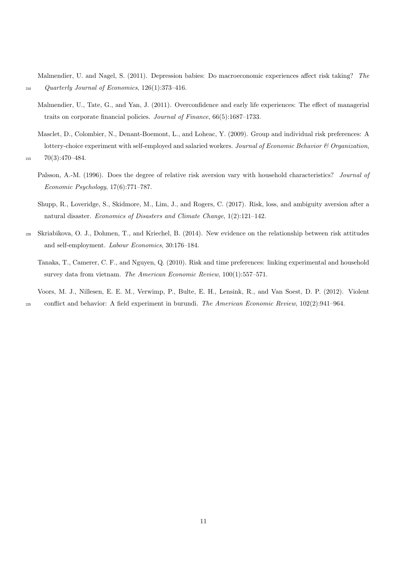Malmendier, U. and Nagel, S. (2011). Depression babies: Do macroeconomic experiences affect risk taking? The <sup>210</sup> Quarterly Journal of Economics, 126(1):373–416.

- Malmendier, U., Tate, G., and Yan, J. (2011). Overconfidence and early life experiences: The effect of managerial traits on corporate financial policies. Journal of Finance, 66(5):1687–1733.
- Masclet, D., Colombier, N., Denant-Boemont, L., and Loheac, Y. (2009). Group and individual risk preferences: A lottery-choice experiment with self-employed and salaried workers. Journal of Economic Behavior & Organization,  $215$   $70(3):470-484.$

- Palsson, A.-M. (1996). Does the degree of relative risk aversion vary with household characteristics? Journal of Economic Psychology, 17(6):771–787.
- Shupp, R., Loveridge, S., Skidmore, M., Lim, J., and Rogers, C. (2017). Risk, loss, and ambiguity aversion after a natural disaster. Economics of Disasters and Climate Change, 1(2):121–142.
- <sup>220</sup> Skriabikova, O. J., Dohmen, T., and Kriechel, B. (2014). New evidence on the relationship between risk attitudes and self-employment. Labour Economics, 30:176–184.
	- Tanaka, T., Camerer, C. F., and Nguyen, Q. (2010). Risk and time preferences: linking experimental and household survey data from vietnam. The American Economic Review, 100(1):557–571.
- Voors, M. J., Nillesen, E. E. M., Verwimp, P., Bulte, E. H., Lensink, R., and Van Soest, D. P. (2012). Violent <sup>225</sup> conflict and behavior: A field experiment in burundi. The American Economic Review, 102(2):941–964.